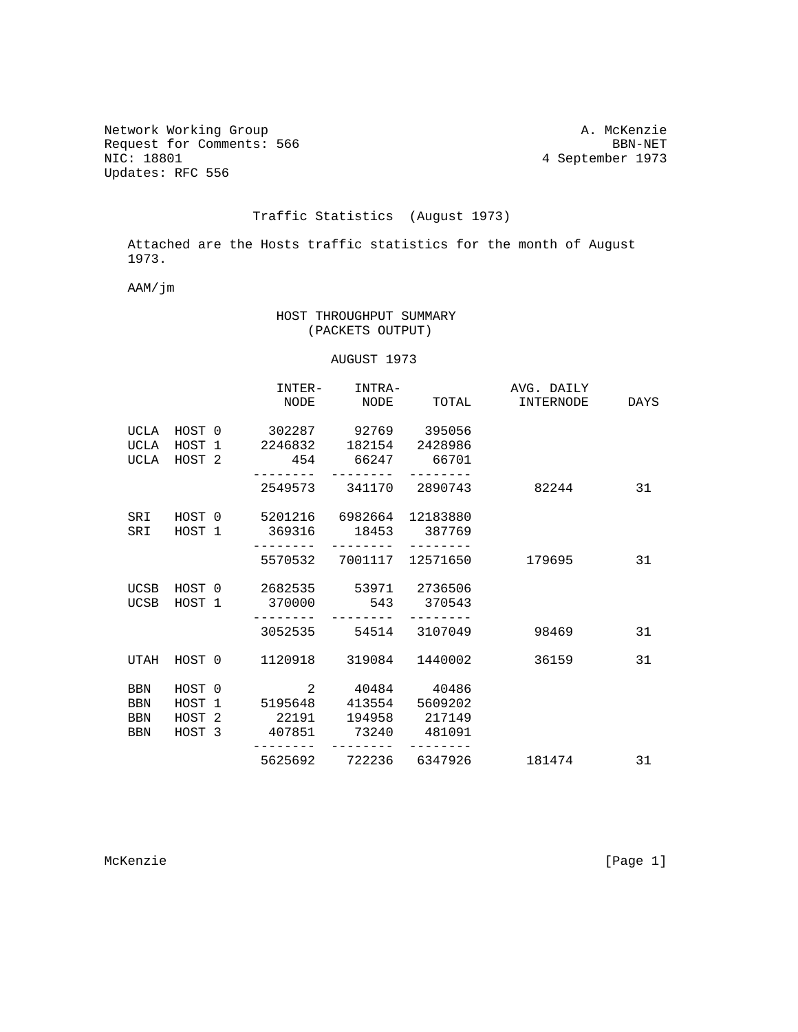Network Working Group<br>
Request for Comments: 566<br>
BBN-NET Request for Comments: 566<br>NIC: 18801 Updates: RFC 556

## 4 September 1973

## Traffic Statistics (August 1973)

 Attached are the Hosts traffic statistics for the month of August 1973.

AAM/jm

## HOST THROUGHPUT SUMMARY (PACKETS OUTPUT)

## AUGUST 1973

|            |             | INTER-  | INTRA-                              |               | AVG. DAILY |      |
|------------|-------------|---------|-------------------------------------|---------------|------------|------|
|            |             | NODE    | NODE                                | TOTAL         | INTERNODE  | DAYS |
|            | UCLA HOST 0 |         | 302287 92769 395056                 |               |            |      |
| UCLA       | HOST 1      |         | 2246832 182154 2428986              |               |            |      |
|            | UCLA HOST 2 | 454     | 66247 66701                         |               |            |      |
|            |             |         | 2549573 341170 2890743              |               | 82244      | 31   |
|            |             |         | SRI HOST 0 5201216 6982664 12183880 |               |            |      |
|            |             |         | SRI HOST 1 369316 18453 387769      |               |            |      |
|            |             |         | 5570532 7001117 12571650            |               | 179695     | 31   |
| UCSB       | HOST 0      |         | 2682535 53971 2736506               |               |            |      |
|            |             |         | UCSB HOST 1 370000 543 370543       |               |            |      |
|            |             | 3052535 |                                     | 54514 3107049 | 98469      | 31   |
|            | UTAH HOST 0 |         | 1120918 319084                      | 1440002       | 36159      | 31   |
| <b>BBN</b> | HOST 0      | 2       | 40484 40486                         |               |            |      |
| <b>BBN</b> | HOST 1      |         | 5195648 413554                      | 5609202       |            |      |
| <b>BBN</b> |             |         | HOST 2 22191 194958 217149          |               |            |      |
| <b>BBN</b> | HOST 3      | 407851  | 73240                               | 481091        |            |      |
|            |             |         | 5625692 722236 6347926              |               | 181474     | 31   |
|            |             |         |                                     |               |            |      |

McKenzie [Page 1]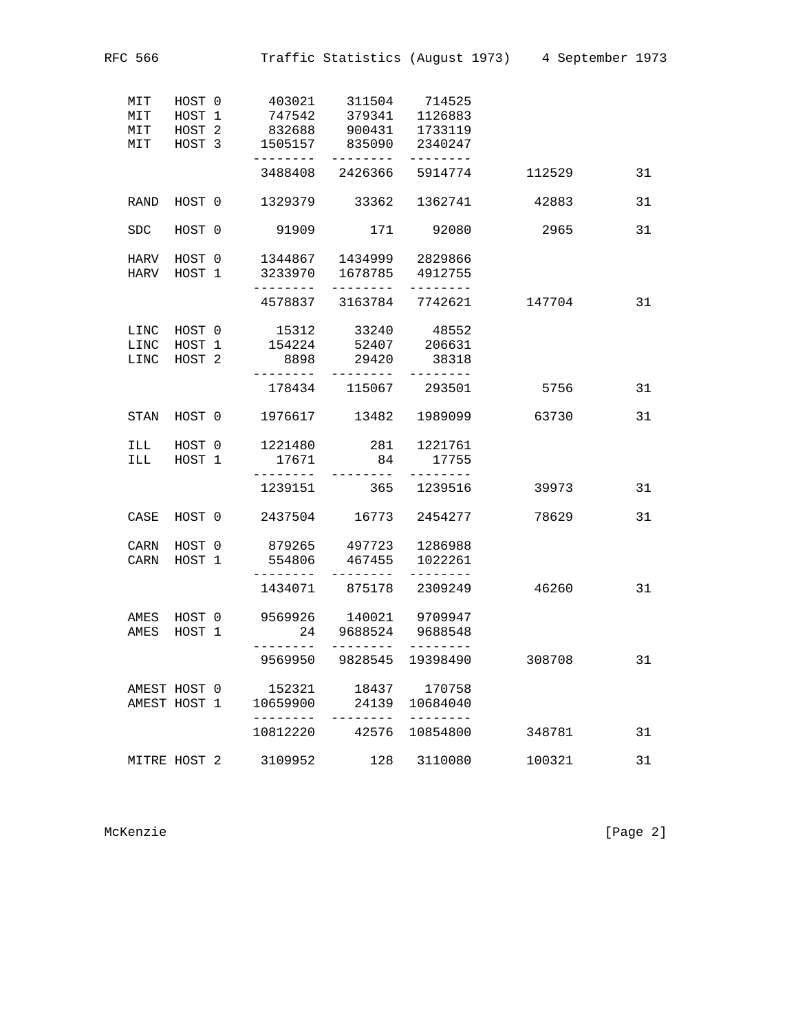| MIT                          | HOST 1                     | 747542                         | 379341                                                 | 1126883                               |        |    |
|------------------------------|----------------------------|--------------------------------|--------------------------------------------------------|---------------------------------------|--------|----|
| MIT                          | HOST 2                     | 832688                         | 900431                                                 | 1733119                               |        |    |
| MIT                          | HOST 3                     | 1505157<br>--------            | 835090<br>--------                                     | 2340247<br>--------                   |        |    |
|                              |                            |                                | 3488408 2426366                                        | 5914774                               | 112529 | 31 |
| RAND                         | HOST 0                     |                                | 1329379 33362                                          | 1362741                               | 42883  | 31 |
| SDC.                         | HOST 0                     | 91909                          | 171                                                    | 92080                                 | 2965   | 31 |
| HARV<br>HARV                 | HOST 0<br>HOST 1           | 3233970<br>--------            | 1344867 1434999 2829866<br>1678785 4912755<br>-------- | --------                              |        |    |
|                              |                            |                                | 4578837 3163784 7742621                                |                                       | 147704 | 31 |
| LINC<br>LINC<br>LINC         | HOST 0<br>HOST 1<br>HOST 2 | 8898<br>---------              | 15312 33240<br>154224 52407<br>29420                   | 48552<br>206631<br>38318              |        |    |
|                              |                            | 178434                         | --------<br>115067                                     | --------<br>293501                    | 5756   | 31 |
| STAN                         | HOST 0                     | 1976617                        | 13482 1989099                                          |                                       | 63730  | 31 |
| ILL<br>ILL                   | HOST 0<br>HOST 1           | 1221480<br>17671               | 281<br>84                                              | 1221761<br>17755                      |        |    |
|                              |                            | --------<br>1239151            | . <u>.</u><br>365                                      | --------<br>1239516                   | 39973  | 31 |
| CASE                         | HOST 0                     | 2437504                        | 16773                                                  | 2454277                               | 78629  | 31 |
| CARN<br>CARN                 | HOST 0<br>HOST 1           | 879265<br>554806<br>.          | 467455<br>.                                            | 497723 1286988<br>1022261<br>-------- |        |    |
|                              |                            | 1434071                        | 875178                                                 | 2309249                               | 46260  | 31 |
| AMES<br>AMES                 | HOST 0<br>HOST 1           | 9569926<br>24                  | 140021<br>9688524<br>--------                          | 9709947<br>9688548<br>--------        |        |    |
|                              |                            | 9569950                        | 9828545                                                | 19398490                              | 308708 | 31 |
| AMEST HOST 0<br>AMEST HOST 1 |                            | 152321<br>10659900<br>-------- | 18437<br>24139<br>--------                             | 170758<br>10684040<br>--------        |        |    |
|                              |                            | 10812220                       | 42576                                                  | 10854800                              | 348781 | 31 |
| MITRE HOST 2                 |                            | 3109952                        | 128                                                    | 3110080                               | 100321 | 31 |

MIT HOST 0 403021 311504 714525

McKenzie [Page 2]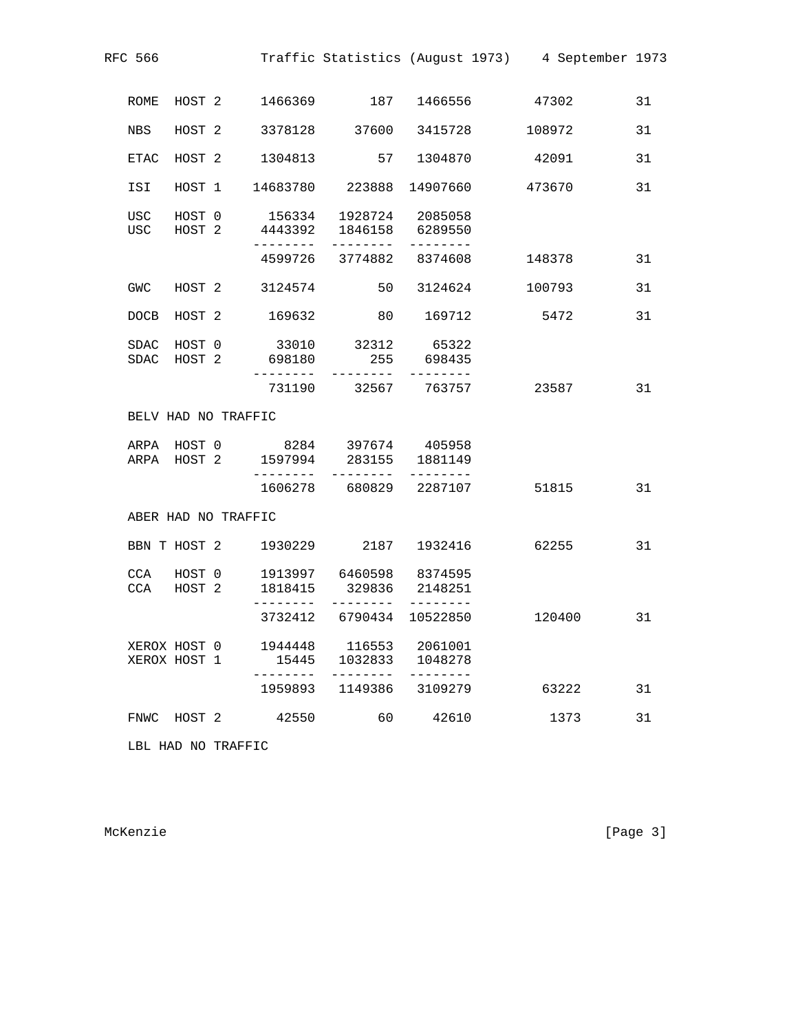| RFC 566                      |                  |        |                    |                                                                                          |                    | Traffic Statistics (August 1973) 4 September 1973 |    |
|------------------------------|------------------|--------|--------------------|------------------------------------------------------------------------------------------|--------------------|---------------------------------------------------|----|
| ROME                         | HOST 2           |        |                    | 1466369 187                                                                              | 1466556            | 47302                                             | 31 |
| NBS                          | HOST 2           |        |                    | 3378128 37600 3415728                                                                    |                    | 108972                                            | 31 |
| ETAC                         | HOST 2           |        | 1304813            | 57                                                                                       | 1304870            | 42091                                             | 31 |
| ISI                          |                  | HOST 1 |                    | 14683780 223888                                                                          | 14907660           | 473670                                            | 31 |
| USC<br>USC                   | HOST 0<br>HOST 2 |        |                    | 156334 1928724 2085058<br>4443392 1846158 6289550                                        |                    |                                                   |    |
|                              |                  |        | .                  | . <u>.</u> .<br>4599726 3774882 8374608                                                  | --------           | 148378                                            | 31 |
| GWC                          |                  |        | HOST 2 3124574     | 50                                                                                       | 3124624            | 100793                                            | 31 |
| <b>DOCB</b>                  | HOST 2           |        | 169632             | 80                                                                                       | 169712             | 5472                                              | 31 |
|                              |                  |        | SDAC HOST 2 698180 | SDAC HOST 0 33010 32312 65322                                                            | 255 698435         |                                                   |    |
|                              |                  |        | ---------          | 731190 32567 763757                                                                      |                    | 23587                                             | 31 |
| BELV HAD NO TRAFFIC          |                  |        |                    |                                                                                          |                    |                                                   |    |
|                              |                  |        |                    | ARPA HOST 0 8284 397674 405958<br>ARPA HOST 2 1597994 283155 1881149<br>---------        | ---------          |                                                   |    |
|                              |                  |        |                    | 1606278 680829 2287107                                                                   |                    | 51815                                             | 31 |
| ABER HAD NO TRAFFIC          |                  |        |                    |                                                                                          |                    |                                                   |    |
|                              |                  |        |                    | BBN T HOST 2 1930229 2187 1932416                                                        |                    | 62255                                             | 31 |
| CCA<br>CCA                   | HOST 2           |        | . <u>.</u>         | HOST 0 1913997 6460598 8374595<br>1818415 329836 2148251<br>- - - - - - - - <sup>-</sup> |                    |                                                   |    |
|                              |                  |        |                    | 3732412 6790434                                                                          | 10522850           | 120400                                            | 31 |
| XEROX HOST 0<br>XEROX HOST 1 |                  |        | 1944448<br>15445   | 116553<br>1032833                                                                        | 2061001<br>1048278 |                                                   |    |
|                              |                  |        | 1959893            | 1149386                                                                                  | 3109279            | 63222                                             | 31 |
| FNWC                         | HOST 2           |        | 42550              | 60                                                                                       | 42610              | 1373                                              | 31 |
|                              |                  |        |                    |                                                                                          |                    |                                                   |    |

LBL HAD NO TRAFFIC

McKenzie [Page 3]